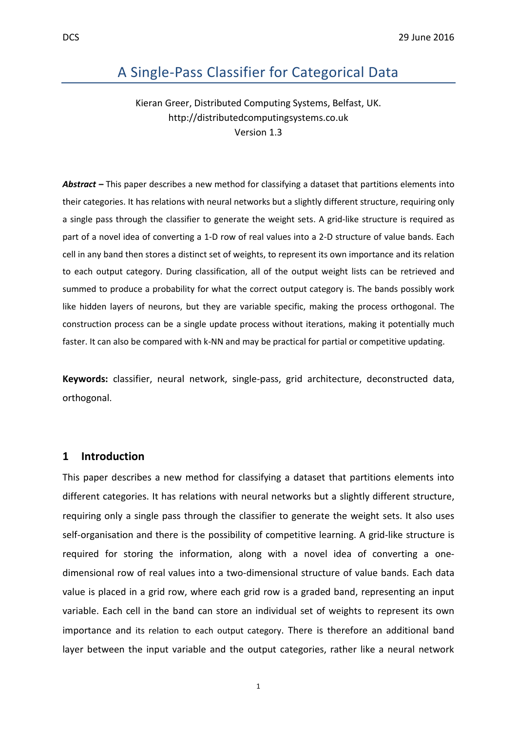# A Single-Pass Classifier for Categorical Data

Kieran Greer, Distributed Computing Systems, Belfast, UK. http://distributedcomputingsystems.co.uk Version 1.3

*Abstract –* This paper describes a new method for classifying a dataset that partitions elements into their categories. It has relations with neural networks but a slightly different structure, requiring only a single pass through the classifier to generate the weight sets. A grid-like structure is required as part of a novel idea of converting a 1-D row of real values into a 2-D structure of value bands. Each cell in any band then stores a distinct set of weights, to represent its own importance and its relation to each output category. During classification, all of the output weight lists can be retrieved and summed to produce a probability for what the correct output category is. The bands possibly work like hidden layers of neurons, but they are variable specific, making the process orthogonal. The construction process can be a single update process without iterations, making it potentially much faster. It can also be compared with k-NN and may be practical for partial or competitive updating.

**Keywords:** classifier, neural network, single-pass, grid architecture, deconstructed data, orthogonal.

### **1 Introduction**

This paper describes a new method for classifying a dataset that partitions elements into different categories. It has relations with neural networks but a slightly different structure, requiring only a single pass through the classifier to generate the weight sets. It also uses self-organisation and there is the possibility of competitive learning. A grid-like structure is required for storing the information, along with a novel idea of converting a onedimensional row of real values into a two-dimensional structure of value bands. Each data value is placed in a grid row, where each grid row is a graded band, representing an input variable. Each cell in the band can store an individual set of weights to represent its own importance and its relation to each output category. There is therefore an additional band layer between the input variable and the output categories, rather like a neural network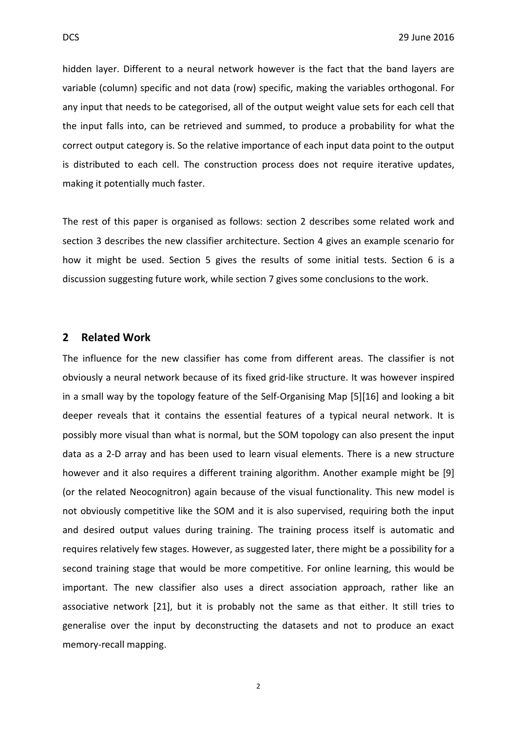hidden layer. Different to a neural network however is the fact that the band layers are variable (column) specific and not data (row) specific, making the variables orthogonal. For any input that needs to be categorised, all of the output weight value sets for each cell that the input falls into, can be retrieved and summed, to produce a probability for what the correct output category is. So the relative importance of each input data point to the output is distributed to each cell. The construction process does not require iterative updates, making it potentially much faster.

The rest of this paper is organised as follows: section [2](#page-1-0) describes some related work and section [3](#page-3-0) describes the new classifier architecture. Section [4](#page-5-0) gives an example scenario for how it might be used. Section [5](#page-6-0) gives the results of some initial tests. Section [6](#page-12-0) is a discussion suggesting future work, while section [7](#page-13-0) gives some conclusions to the work.

# <span id="page-1-0"></span>**2 Related Work**

The influence for the new classifier has come from different areas. The classifier is not obviously a neural network because of its fixed grid-like structure. It was however inspired in a small way by the topology feature of the Self-Organising Map [\[5\]\[16\]](#page-14-0) and looking a bit deeper reveals that it contains the essential features of a typical neural network. It is possibly more visual than what is normal, but the SOM topology can also present the input data as a 2-D array and has been used to learn visual elements. There is a new structure however and it also requires a different training algorithm. Another example might be [\[9\]](#page-15-0) (or the related Neocognitron) again because of the visual functionality. This new model is not obviously competitive like the SOM and it is also supervised, requiring both the input and desired output values during training. The training process itself is automatic and requires relatively few stages. However, as suggested later, there might be a possibility for a second training stage that would be more competitive. For online learning, this would be important. The new classifier also uses a direct association approach, rather like an associative network [\[21\],](#page-16-0) but it is probably not the same as that either. It still tries to generalise over the input by deconstructing the datasets and not to produce an exact memory-recall mapping.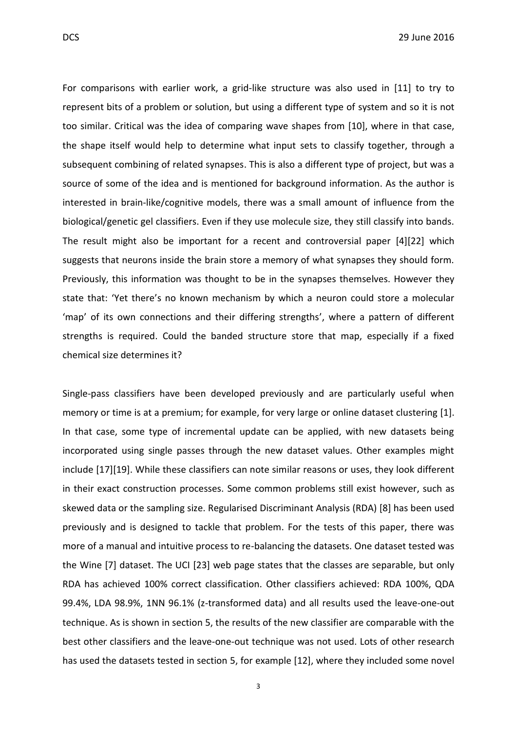DCS 29 June 2016

For comparisons with earlier work, a grid-like structure was also used in [\[11\]](#page-15-1) to try to represent bits of a problem or solution, but using a different type of system and so it is not too similar. Critical was the idea of comparing wave shapes from [\[10\],](#page-15-2) where in that case, the shape itself would help to determine what input sets to classify together, through a subsequent combining of related synapses. This is also a different type of project, but was a source of some of the idea and is mentioned for background information. As the author is interested in brain-like/cognitive models, there was a small amount of influence from the biological/genetic gel classifiers. Even if they use molecule size, they still classify into bands. The result might also be important for a recent and controversial paper [\[4\]\[22\]](#page-14-1) which suggests that neurons inside the brain store a memory of what synapses they should form. Previously, this information was thought to be in the synapses themselves. However they state that: 'Yet there's no known mechanism by which a neuron could store a molecular 'map' of its own connections and their differing strengths', where a pattern of different strengths is required. Could the banded structure store that map, especially if a fixed chemical size determines it?

Single-pass classifiers have been developed previously and are particularly useful when memory or time is at a premium; for example, for very large or online dataset clustering [\[1\].](#page-14-2) In that case, some type of incremental update can be applied, with new datasets being incorporated using single passes through the new dataset values. Other examples might include [\[17\]\[19\].](#page-15-3) While these classifiers can note similar reasons or uses, they look different in their exact construction processes. Some common problems still exist however, such as skewed data or the sampling size. Regularised Discriminant Analysis (RDA) [\[8\]](#page-15-4) has been used previously and is designed to tackle that problem. For the tests of this paper, there was more of a manual and intuitive process to re-balancing the datasets. One dataset tested was the Wine [\[7\]](#page-15-5) dataset. The UCI [\[23\]](#page-16-1) web page states that the classes are separable, but only RDA has achieved 100% correct classification. Other classifiers achieved: RDA 100%, QDA 99.4%, LDA 98.9%, 1NN 96.1% (z-transformed data) and all results used the leave-one-out technique. As is shown in section [5,](#page-6-0) the results of the new classifier are comparable with the best other classifiers and the leave-one-out technique was not used. Lots of other research has used the datasets tested in section [5,](#page-6-0) for example [\[12\],](#page-15-6) where they included some novel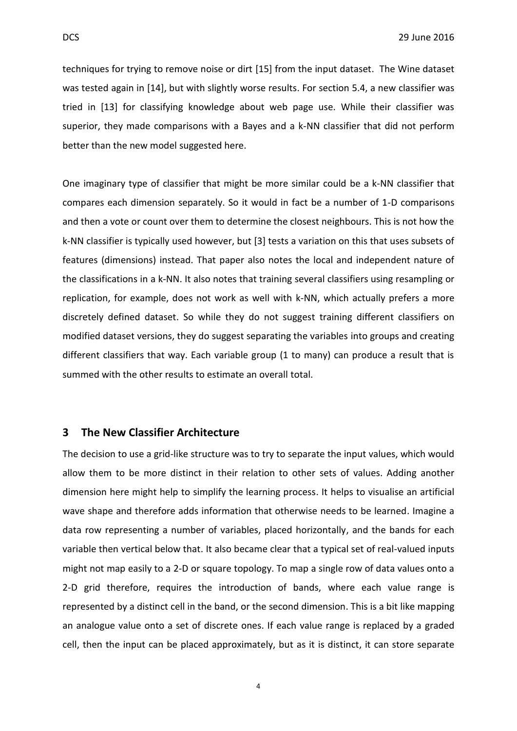techniques for trying to remove noise or dirt [\[15\]](#page-15-7) from the input dataset. The Wine dataset was tested again in [\[14\],](#page-15-8) but with slightly worse results. For section [5.4,](#page-11-0) a new classifier was tried in [\[13\]](#page-15-9) for classifying knowledge about web page use. While their classifier was superior, they made comparisons with a Bayes and a k-NN classifier that did not perform

better than the new model suggested here.

One imaginary type of classifier that might be more similar could be a k-NN classifier that compares each dimension separately. So it would in fact be a number of 1-D comparisons and then a vote or count over them to determine the closest neighbours. This is not how the k-NN classifier is typically used however, but [\[3\]](#page-14-3) tests a variation on this that uses subsets of features (dimensions) instead. That paper also notes the local and independent nature of the classifications in a k-NN. It also notes that training several classifiers using resampling or replication, for example, does not work as well with k-NN, which actually prefers a more discretely defined dataset. So while they do not suggest training different classifiers on modified dataset versions, they do suggest separating the variables into groups and creating different classifiers that way. Each variable group (1 to many) can produce a result that is summed with the other results to estimate an overall total.

# <span id="page-3-0"></span>**3 The New Classifier Architecture**

The decision to use a grid-like structure was to try to separate the input values, which would allow them to be more distinct in their relation to other sets of values. Adding another dimension here might help to simplify the learning process. It helps to visualise an artificial wave shape and therefore adds information that otherwise needs to be learned. Imagine a data row representing a number of variables, placed horizontally, and the bands for each variable then vertical below that. It also became clear that a typical set of real-valued inputs might not map easily to a 2-D or square topology. To map a single row of data values onto a 2-D grid therefore, requires the introduction of bands, where each value range is represented by a distinct cell in the band, or the second dimension. This is a bit like mapping an analogue value onto a set of discrete ones. If each value range is replaced by a graded cell, then the input can be placed approximately, but as it is distinct, it can store separate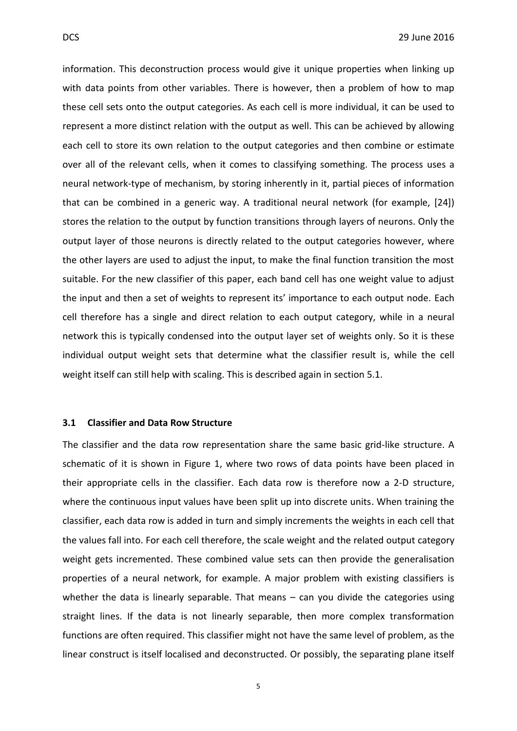information. This deconstruction process would give it unique properties when linking up with data points from other variables. There is however, then a problem of how to map these cell sets onto the output categories. As each cell is more individual, it can be used to represent a more distinct relation with the output as well. This can be achieved by allowing each cell to store its own relation to the output categories and then combine or estimate over all of the relevant cells, when it comes to classifying something. The process uses a neural network-type of mechanism, by storing inherently in it, partial pieces of information that can be combined in a generic way. A traditional neural network (for example, [\[24\]\)](#page-16-2) stores the relation to the output by function transitions through layers of neurons. Only the output layer of those neurons is directly related to the output categories however, where the other layers are used to adjust the input, to make the final function transition the most suitable. For the new classifier of this paper, each band cell has one weight value to adjust the input and then a set of weights to represent its' importance to each output node. Each cell therefore has a single and direct relation to each output category, while in a neural network this is typically condensed into the output layer set of weights only. So it is these individual output weight sets that determine what the classifier result is, while the cell weight itself can still help with scaling. This is described again in section [5.1.](#page-7-0)

#### **3.1 Classifier and Data Row Structure**

The classifier and the data row representation share the same basic grid-like structure. A schematic of it is shown in [Figure 1,](#page-5-1) where two rows of data points have been placed in their appropriate cells in the classifier. Each data row is therefore now a 2-D structure, where the continuous input values have been split up into discrete units. When training the classifier, each data row is added in turn and simply increments the weights in each cell that the values fall into. For each cell therefore, the scale weight and the related output category weight gets incremented. These combined value sets can then provide the generalisation properties of a neural network, for example. A major problem with existing classifiers is whether the data is linearly separable. That means – can you divide the categories using straight lines. If the data is not linearly separable, then more complex transformation functions are often required. This classifier might not have the same level of problem, as the linear construct is itself localised and deconstructed. Or possibly, the separating plane itself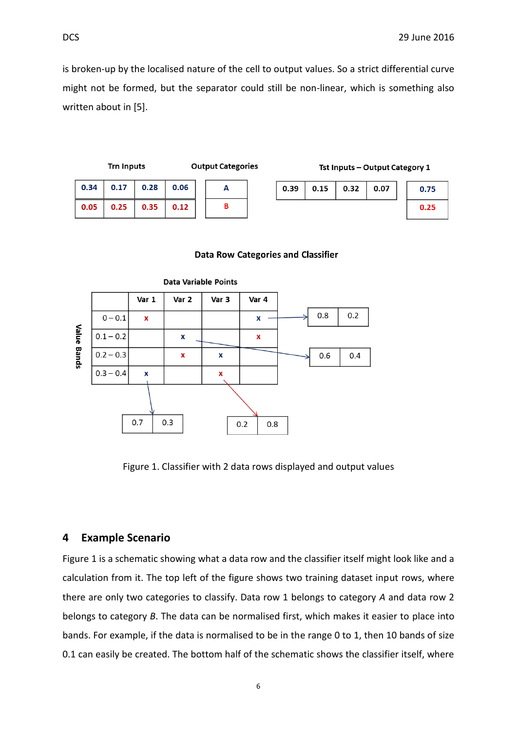is broken-up by the localised nature of the cell to output values. So a strict differential curve might not be formed, but the separator could still be non-linear, which is something also written about i[n \[5\].](#page-14-0)



#### **Data Row Categories and Classifier**



<span id="page-5-1"></span>Figure 1. Classifier with 2 data rows displayed and output values

### <span id="page-5-0"></span>**4 Example Scenario**

[Figure 1](#page-5-1) is a schematic showing what a data row and the classifier itself might look like and a calculation from it. The top left of the figure shows two training dataset input rows, where there are only two categories to classify. Data row 1 belongs to category *A* and data row 2 belongs to category *B*. The data can be normalised first, which makes it easier to place into bands. For example, if the data is normalised to be in the range 0 to 1, then 10 bands of size 0.1 can easily be created. The bottom half of the schematic shows the classifier itself, where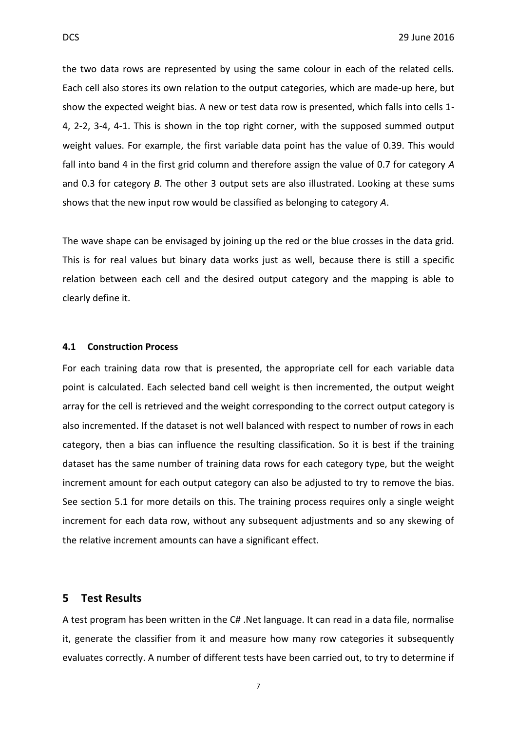the two data rows are represented by using the same colour in each of the related cells. Each cell also stores its own relation to the output categories, which are made-up here, but show the expected weight bias. A new or test data row is presented, which falls into cells 1- 4, 2-2, 3-4, 4-1. This is shown in the top right corner, with the supposed summed output weight values. For example, the first variable data point has the value of 0.39. This would fall into band 4 in the first grid column and therefore assign the value of 0.7 for category *A* and 0.3 for category *B*. The other 3 output sets are also illustrated. Looking at these sums shows that the new input row would be classified as belonging to category *A*.

The wave shape can be envisaged by joining up the red or the blue crosses in the data grid. This is for real values but binary data works just as well, because there is still a specific relation between each cell and the desired output category and the mapping is able to clearly define it.

#### **4.1 Construction Process**

For each training data row that is presented, the appropriate cell for each variable data point is calculated. Each selected band cell weight is then incremented, the output weight array for the cell is retrieved and the weight corresponding to the correct output category is also incremented. If the dataset is not well balanced with respect to number of rows in each category, then a bias can influence the resulting classification. So it is best if the training dataset has the same number of training data rows for each category type, but the weight increment amount for each output category can also be adjusted to try to remove the bias. See section [5.1](#page-7-0) for more details on this. The training process requires only a single weight increment for each data row, without any subsequent adjustments and so any skewing of the relative increment amounts can have a significant effect.

# <span id="page-6-0"></span>**5 Test Results**

A test program has been written in the C# .Net language. It can read in a data file, normalise it, generate the classifier from it and measure how many row categories it subsequently evaluates correctly. A number of different tests have been carried out, to try to determine if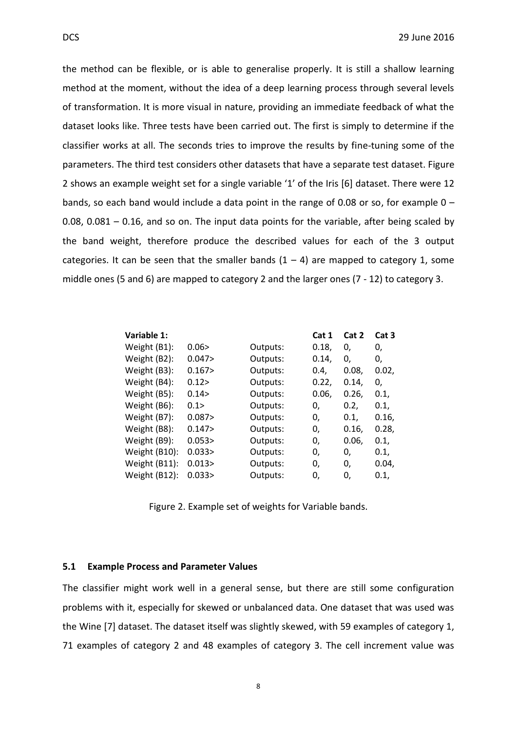the method can be flexible, or is able to generalise properly. It is still a shallow learning method at the moment, without the idea of a deep learning process through several levels of transformation. It is more visual in nature, providing an immediate feedback of what the

dataset looks like. Three tests have been carried out. The first is simply to determine if the classifier works at all. The seconds tries to improve the results by fine-tuning some of the parameters. The third test considers other datasets that have a separate test dataset. [Figure](#page-7-1)  [2](#page-7-1) shows an example weight set for a single variable '1' of the Iris [\[6\]](#page-14-4) dataset. There were 12 bands, so each band would include a data point in the range of 0.08 or so, for example 0 – 0.08, 0.081 – 0.16, and so on. The input data points for the variable, after being scaled by the band weight, therefore produce the described values for each of the 3 output categories. It can be seen that the smaller bands  $(1 - 4)$  are mapped to category 1, some middle ones (5 and 6) are mapped to category 2 and the larger ones (7 - 12) to category 3.

| Variable 1:   |         |          | Cat 1 | Cat 2 | Cat <sub>3</sub> |
|---------------|---------|----------|-------|-------|------------------|
| Weight (B1):  | 0.06    | Outputs: | 0.18, | 0,    | 0,               |
| Weight (B2):  | 0.047   | Outputs: | 0.14, | 0,    | 0,               |
| Weight (B3):  | 0.167   | Outputs: | 0.4,  | 0.08, | 0.02,            |
| Weight (B4):  | 0.12>   | Outputs: | 0.22, | 0.14, | 0,               |
| Weight (B5):  | 0.14>   | Outputs: | 0.06, | 0.26, | 0.1,             |
| Weight (B6):  | 0.1>    | Outputs: | 0,    | 0.2,  | 0.1,             |
| Weight (B7):  | 0.087   | Outputs: | 0,    | 0.1,  | 0.16,            |
| Weight (B8):  | 0.147   | Outputs: | 0.    | 0.16, | 0.28,            |
| Weight (B9):  | 0.053>  | Outputs: | 0,    | 0.06, | 0.1,             |
| Weight (B10): | 0.033>  | Outputs: | 0,    | 0,    | 0.1,             |
| Weight (B11): | 0.013 > | Outputs: | 0,    | 0,    | 0.04,            |
| Weight (B12): | 0.033>  | Outputs: | 0,    | 0,    | 0.1,             |

Figure 2. Example set of weights for Variable bands.

#### <span id="page-7-1"></span><span id="page-7-0"></span>**5.1 Example Process and Parameter Values**

The classifier might work well in a general sense, but there are still some configuration problems with it, especially for skewed or unbalanced data. One dataset that was used was the Wine [\[7\]](#page-15-5) dataset. The dataset itself was slightly skewed, with 59 examples of category 1, 71 examples of category 2 and 48 examples of category 3. The cell increment value was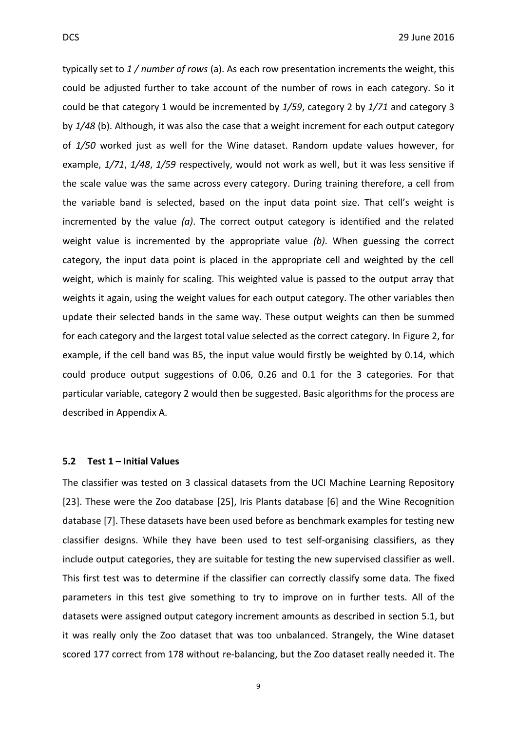typically set to *1 / number of rows* (a). As each row presentation increments the weight, this could be adjusted further to take account of the number of rows in each category. So it could be that category 1 would be incremented by *1/59*, category 2 by *1/71* and category 3 by *1/48* (b). Although, it was also the case that a weight increment for each output category of *1/50* worked just as well for the Wine dataset. Random update values however, for example, *1/71*, *1/48*, *1/59* respectively, would not work as well, but it was less sensitive if the scale value was the same across every category. During training therefore, a cell from the variable band is selected, based on the input data point size. That cell's weight is incremented by the value *(a)*. The correct output category is identified and the related weight value is incremented by the appropriate value *(b)*. When guessing the correct category, the input data point is placed in the appropriate cell and weighted by the cell weight, which is mainly for scaling. This weighted value is passed to the output array that weights it again, using the weight values for each output category. The other variables then update their selected bands in the same way. These output weights can then be summed for each category and the largest total value selected as the correct category. In [Figure 2,](#page-7-1) for example, if the cell band was B5, the input value would firstly be weighted by 0.14, which could produce output suggestions of 0.06, 0.26 and 0.1 for the 3 categories. For that particular variable, category 2 would then be suggested. Basic algorithms for the process are described in Appendix A.

#### **5.2 Test 1 – Initial Values**

The classifier was tested on 3 classical datasets from the UCI Machine Learning Repository [\[23\].](#page-16-1) These were the Zoo database [\[25\],](#page-16-3) Iris Plants database [\[6\]](#page-14-4) and the Wine Recognition database [\[7\].](#page-15-5) These datasets have been used before as benchmark examples for testing new classifier designs. While they have been used to test self-organising classifiers, as they include output categories, they are suitable for testing the new supervised classifier as well. This first test was to determine if the classifier can correctly classify some data. The fixed parameters in this test give something to try to improve on in further tests. All of the datasets were assigned output category increment amounts as described in section [5.1,](#page-7-0) but it was really only the Zoo dataset that was too unbalanced. Strangely, the Wine dataset scored 177 correct from 178 without re-balancing, but the Zoo dataset really needed it. The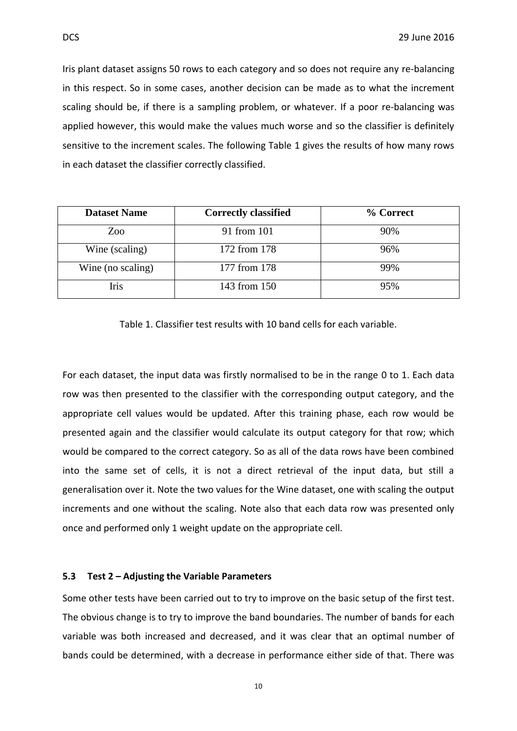Iris plant dataset assigns 50 rows to each category and so does not require any re-balancing in this respect. So in some cases, another decision can be made as to what the increment scaling should be, if there is a sampling problem, or whatever. If a poor re-balancing was applied however, this would make the values much worse and so the classifier is definitely sensitive to the increment scales. The following [Table 1](#page-9-0) gives the results of how many rows in each dataset the classifier correctly classified.

| <b>Dataset Name</b> | <b>Correctly classified</b> | % Correct |
|---------------------|-----------------------------|-----------|
| Zoo                 | 91 from 101                 | 90%       |
| Wine (scaling)      | 172 from 178                | 96%       |
| Wine (no scaling)   | 177 from 178                | 99%       |
| Iris                | 143 from 150                | 95%       |

Table 1. Classifier test results with 10 band cells for each variable.

<span id="page-9-0"></span>For each dataset, the input data was firstly normalised to be in the range 0 to 1. Each data row was then presented to the classifier with the corresponding output category, and the appropriate cell values would be updated. After this training phase, each row would be presented again and the classifier would calculate its output category for that row; which would be compared to the correct category. So as all of the data rows have been combined into the same set of cells, it is not a direct retrieval of the input data, but still a generalisation over it. Note the two values for the Wine dataset, one with scaling the output increments and one without the scaling. Note also that each data row was presented only once and performed only 1 weight update on the appropriate cell.

#### **5.3 Test 2 – Adjusting the Variable Parameters**

Some other tests have been carried out to try to improve on the basic setup of the first test. The obvious change is to try to improve the band boundaries. The number of bands for each variable was both increased and decreased, and it was clear that an optimal number of bands could be determined, with a decrease in performance either side of that. There was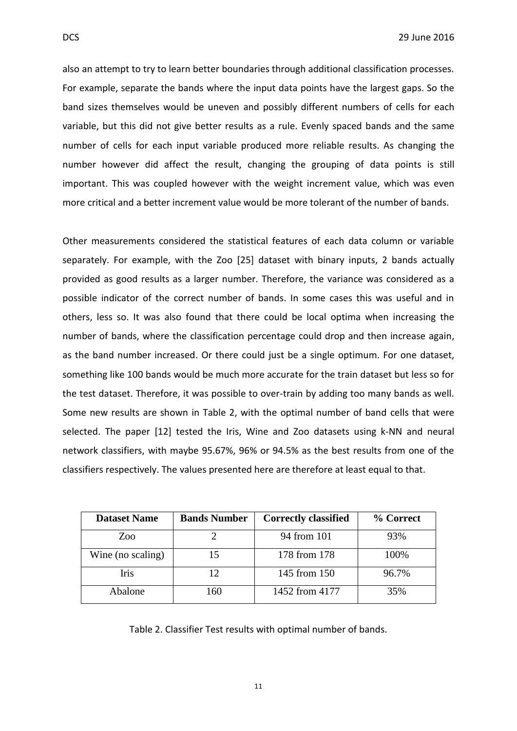also an attempt to try to learn better boundaries through additional classification processes. For example, separate the bands where the input data points have the largest gaps. So the band sizes themselves would be uneven and possibly different numbers of cells for each variable, but this did not give better results as a rule. Evenly spaced bands and the same number of cells for each input variable produced more reliable results. As changing the number however did affect the result, changing the grouping of data points is still important. This was coupled however with the weight increment value, which was even more critical and a better increment value would be more tolerant of the number of bands.

Other measurements considered the statistical features of each data column or variable separately. For example, with the Zoo [\[25\]](#page-16-3) dataset with binary inputs, 2 bands actually provided as good results as a larger number. Therefore, the variance was considered as a possible indicator of the correct number of bands. In some cases this was useful and in others, less so. It was also found that there could be local optima when increasing the number of bands, where the classification percentage could drop and then increase again, as the band number increased. Or there could just be a single optimum. For one dataset, something like 100 bands would be much more accurate for the train dataset but less so for the test dataset. Therefore, it was possible to over-train by adding too many bands as well. Some new results are shown in [Table 2,](#page-10-0) with the optimal number of band cells that were selected. The paper [\[12\]](#page-15-6) tested the Iris, Wine and Zoo datasets using k-NN and neural network classifiers, with maybe 95.67%, 96% or 94.5% as the best results from one of the classifiers respectively. The values presented here are therefore at least equal to that.

| <b>Dataset Name</b> | <b>Bands Number</b> | <b>Correctly classified</b> | % Correct |
|---------------------|---------------------|-----------------------------|-----------|
| Zoo                 |                     | 94 from 101                 | 93%       |
| Wine (no scaling)   | 15                  | 178 from 178                | 100%      |
| Iris                | 12                  | 145 from 150                | 96.7%     |
| Abalone             | 160                 | 1452 from 4177              | 35%       |

<span id="page-10-0"></span>Table 2. Classifier Test results with optimal number of bands.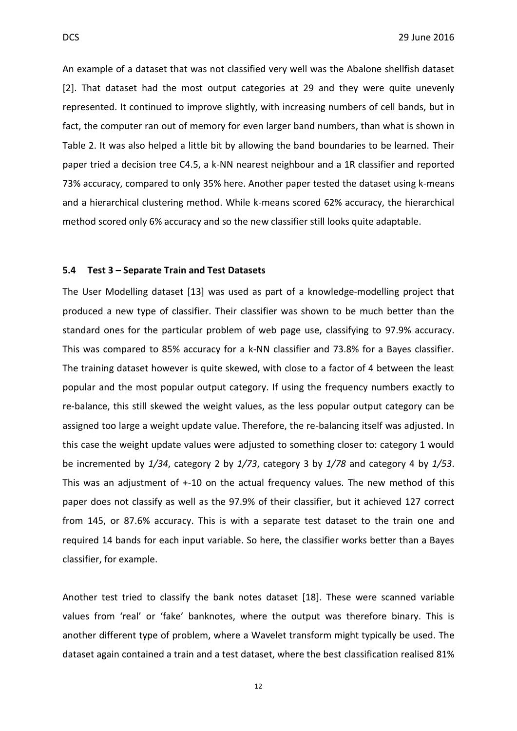An example of a dataset that was not classified very well was the Abalone shellfish dataset [\[2\].](#page-14-5) That dataset had the most output categories at 29 and they were quite unevenly represented. It continued to improve slightly, with increasing numbers of cell bands, but in fact, the computer ran out of memory for even larger band numbers, than what is shown in [Table 2.](#page-10-0) It was also helped a little bit by allowing the band boundaries to be learned. Their paper tried a decision tree C4.5, a k-NN nearest neighbour and a 1R classifier and reported 73% accuracy, compared to only 35% here. Another paper tested the dataset using k-means and a hierarchical clustering method. While k-means scored 62% accuracy, the hierarchical

method scored only 6% accuracy and so the new classifier still looks quite adaptable.

#### <span id="page-11-0"></span>**5.4 Test 3 – Separate Train and Test Datasets**

The User Modelling dataset [\[13\]](#page-15-9) was used as part of a knowledge-modelling project that produced a new type of classifier. Their classifier was shown to be much better than the standard ones for the particular problem of web page use, classifying to 97.9% accuracy. This was compared to 85% accuracy for a k-NN classifier and 73.8% for a Bayes classifier. The training dataset however is quite skewed, with close to a factor of 4 between the least popular and the most popular output category. If using the frequency numbers exactly to re-balance, this still skewed the weight values, as the less popular output category can be assigned too large a weight update value. Therefore, the re-balancing itself was adjusted. In this case the weight update values were adjusted to something closer to: category 1 would be incremented by *1/34*, category 2 by *1/73*, category 3 by *1/78* and category 4 by *1/53*. This was an adjustment of +-10 on the actual frequency values. The new method of this paper does not classify as well as the 97.9% of their classifier, but it achieved 127 correct from 145, or 87.6% accuracy. This is with a separate test dataset to the train one and required 14 bands for each input variable. So here, the classifier works better than a Bayes classifier, for example.

Another test tried to classify the bank notes dataset [\[18\].](#page-15-10) These were scanned variable values from 'real' or 'fake' banknotes, where the output was therefore binary. This is another different type of problem, where a Wavelet transform might typically be used. The dataset again contained a train and a test dataset, where the best classification realised 81%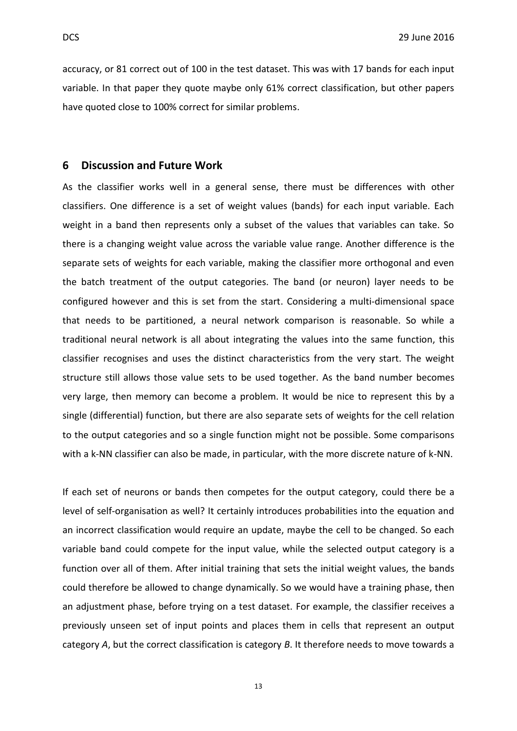accuracy, or 81 correct out of 100 in the test dataset. This was with 17 bands for each input variable. In that paper they quote maybe only 61% correct classification, but other papers have quoted close to 100% correct for similar problems.

#### <span id="page-12-0"></span>**6 Discussion and Future Work**

As the classifier works well in a general sense, there must be differences with other classifiers. One difference is a set of weight values (bands) for each input variable. Each weight in a band then represents only a subset of the values that variables can take. So there is a changing weight value across the variable value range. Another difference is the separate sets of weights for each variable, making the classifier more orthogonal and even the batch treatment of the output categories. The band (or neuron) layer needs to be configured however and this is set from the start. Considering a multi-dimensional space that needs to be partitioned, a neural network comparison is reasonable. So while a traditional neural network is all about integrating the values into the same function, this classifier recognises and uses the distinct characteristics from the very start. The weight structure still allows those value sets to be used together. As the band number becomes very large, then memory can become a problem. It would be nice to represent this by a single (differential) function, but there are also separate sets of weights for the cell relation to the output categories and so a single function might not be possible. Some comparisons with a k-NN classifier can also be made, in particular, with the more discrete nature of k-NN.

If each set of neurons or bands then competes for the output category, could there be a level of self-organisation as well? It certainly introduces probabilities into the equation and an incorrect classification would require an update, maybe the cell to be changed. So each variable band could compete for the input value, while the selected output category is a function over all of them. After initial training that sets the initial weight values, the bands could therefore be allowed to change dynamically. So we would have a training phase, then an adjustment phase, before trying on a test dataset. For example, the classifier receives a previously unseen set of input points and places them in cells that represent an output category *A*, but the correct classification is category *B*. It therefore needs to move towards a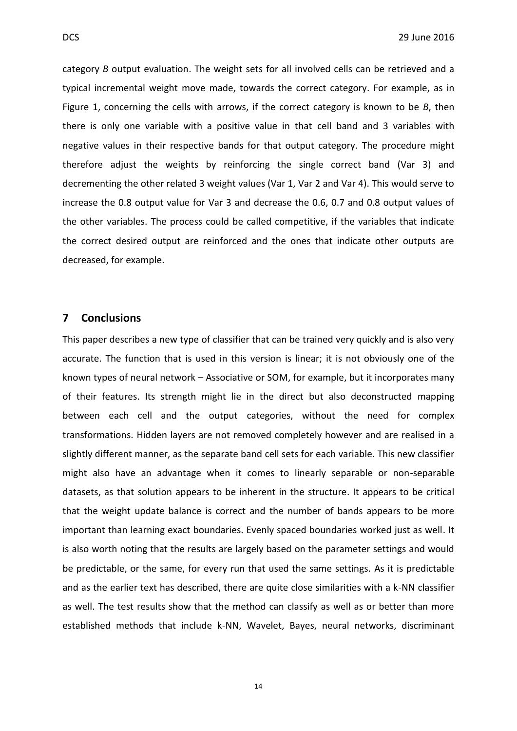category *B* output evaluation. The weight sets for all involved cells can be retrieved and a typical incremental weight move made, towards the correct category. For example, as in [Figure 1,](#page-5-1) concerning the cells with arrows, if the correct category is known to be *B*, then there is only one variable with a positive value in that cell band and 3 variables with negative values in their respective bands for that output category. The procedure might therefore adjust the weights by reinforcing the single correct band (Var 3) and decrementing the other related 3 weight values (Var 1, Var 2 and Var 4). This would serve to increase the 0.8 output value for Var 3 and decrease the 0.6, 0.7 and 0.8 output values of the other variables. The process could be called competitive, if the variables that indicate the correct desired output are reinforced and the ones that indicate other outputs are decreased, for example.

## <span id="page-13-0"></span>**7 Conclusions**

This paper describes a new type of classifier that can be trained very quickly and is also very accurate. The function that is used in this version is linear; it is not obviously one of the known types of neural network – Associative or SOM, for example, but it incorporates many of their features. Its strength might lie in the direct but also deconstructed mapping between each cell and the output categories, without the need for complex transformations. Hidden layers are not removed completely however and are realised in a slightly different manner, as the separate band cell sets for each variable. This new classifier might also have an advantage when it comes to linearly separable or non-separable datasets, as that solution appears to be inherent in the structure. It appears to be critical that the weight update balance is correct and the number of bands appears to be more important than learning exact boundaries. Evenly spaced boundaries worked just as well. It is also worth noting that the results are largely based on the parameter settings and would be predictable, or the same, for every run that used the same settings. As it is predictable and as the earlier text has described, there are quite close similarities with a k-NN classifier as well. The test results show that the method can classify as well as or better than more established methods that include k-NN, Wavelet, Bayes, neural networks, discriminant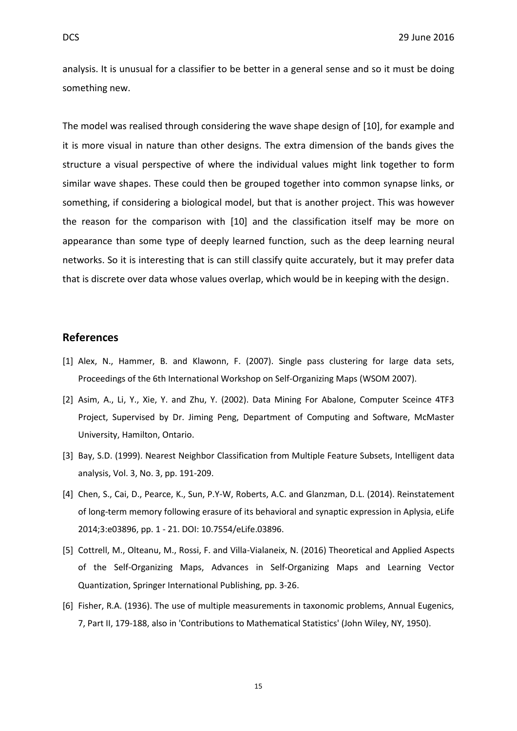analysis. It is unusual for a classifier to be better in a general sense and so it must be doing something new.

The model was realised through considering the wave shape design of [\[10\],](#page-15-2) for example and it is more visual in nature than other designs. The extra dimension of the bands gives the structure a visual perspective of where the individual values might link together to form similar wave shapes. These could then be grouped together into common synapse links, or something, if considering a biological model, but that is another project. This was however the reason for the comparison with [\[10\]](#page-15-2) and the classification itself may be more on appearance than some type of deeply learned function, such as the deep learning neural networks. So it is interesting that is can still classify quite accurately, but it may prefer data that is discrete over data whose values overlap, which would be in keeping with the design.

# **References**

- <span id="page-14-2"></span>[1] Alex, N., Hammer, B. and Klawonn, F. (2007). Single pass clustering for large data sets, Proceedings of the 6th International Workshop on Self-Organizing Maps (WSOM 2007).
- <span id="page-14-5"></span>[2] Asim, A., Li, Y., Xie, Y. and Zhu, Y. (2002). Data Mining For Abalone, Computer Sceince 4TF3 Project, Supervised by Dr. Jiming Peng, Department of Computing and Software, McMaster University, Hamilton, Ontario.
- <span id="page-14-3"></span>[3] Bay, S.D. (1999). Nearest Neighbor Classification from Multiple Feature Subsets, Intelligent data analysis, Vol. 3, No. 3, pp. 191-209.
- <span id="page-14-1"></span>[4] Chen, S., Cai, D., Pearce, K., Sun, P.Y-W, Roberts, A.C. and Glanzman, D.L. (2014). Reinstatement of long-term memory following erasure of its behavioral and synaptic expression in Aplysia, eLife 2014;3:e03896, pp. 1 - 21. DOI: 10.7554/eLife.03896.
- <span id="page-14-0"></span>[5] Cottrell, M., Olteanu, M., Rossi, F. and Villa-Vialaneix, N. (2016) Theoretical and Applied Aspects of the Self-Organizing Maps, Advances in Self-Organizing Maps and Learning Vector Quantization, Springer International Publishing, pp. 3-26.
- <span id="page-14-4"></span>[6] Fisher, R.A. (1936). The use of multiple measurements in taxonomic problems, Annual Eugenics, 7, Part II, 179-188, also in 'Contributions to Mathematical Statistics' (John Wiley, NY, 1950).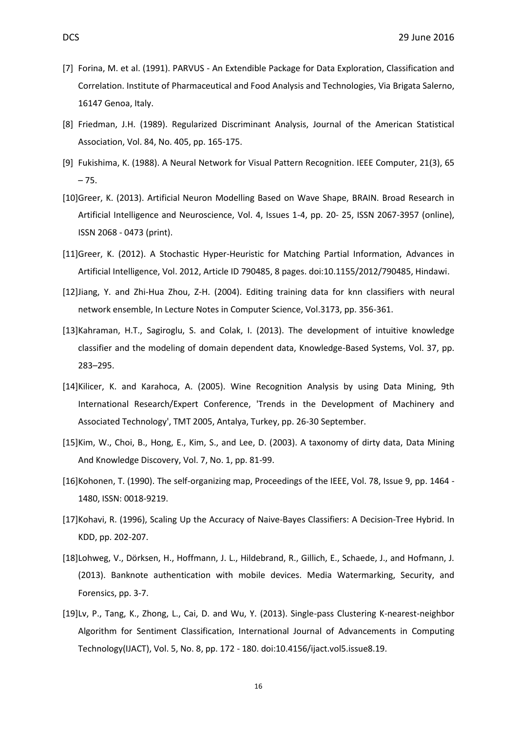- <span id="page-15-5"></span>[7] Forina, M. et al. (1991). PARVUS - An Extendible Package for Data Exploration, Classification and Correlation. Institute of Pharmaceutical and Food Analysis and Technologies, Via Brigata Salerno, 16147 Genoa, Italy.
- <span id="page-15-4"></span>[8] Friedman, J.H. (1989). Regularized Discriminant Analysis, Journal of the American Statistical Association, Vol. 84, No. 405, pp. 165-175.
- <span id="page-15-0"></span>[9] Fukishima, K. (1988). A Neural Network for Visual Pattern Recognition. IEEE Computer, 21(3), 65 – 75.
- <span id="page-15-2"></span>[10]Greer, K. (2013). Artificial Neuron Modelling Based on Wave Shape, BRAIN. Broad Research in Artificial Intelligence and Neuroscience, Vol. 4, Issues 1-4, pp. 20- 25, ISSN 2067-3957 (online), ISSN 2068 - 0473 (print).
- <span id="page-15-1"></span>[11]Greer, K. (2012). A Stochastic Hyper-Heuristic for Matching Partial Information, Advances in Artificial Intelligence, Vol. 2012, Article ID 790485, 8 pages. doi:10.1155/2012/790485, Hindawi.
- <span id="page-15-6"></span>[12]Jiang, Y. and Zhi-Hua Zhou, Z-H. (2004). Editing training data for knn classifiers with neural network ensemble, In Lecture Notes in Computer Science, Vol.3173, pp. 356-361.
- <span id="page-15-9"></span>[13]Kahraman, H.T., Sagiroglu, S. and Colak, I. (2013). The development of intuitive knowledge classifier and the modeling of domain dependent data, Knowledge-Based Systems, Vol. 37, pp. 283–295.
- <span id="page-15-8"></span>[14]Kilicer, K. and Karahoca, A. (2005). Wine Recognition Analysis by using Data Mining, 9th International Research/Expert Conference, 'Trends in the Development of Machinery and Associated Technology', TMT 2005, Antalya, Turkey, pp. 26-30 September.
- <span id="page-15-7"></span>[15]Kim, W., Choi, B., Hong, E., Kim, S., and Lee, D. (2003). A taxonomy of dirty data, Data Mining And Knowledge Discovery, Vol. 7, No. 1, pp. 81-99.
- [16]Kohonen, T. (1990). The self-organizing map, Proceedings of the IEEE, Vol. 78, Issue 9, pp. 1464 1480, ISSN: 0018-9219.
- <span id="page-15-3"></span>[17]Kohavi, R. (1996), Scaling Up the Accuracy of Naive-Bayes Classifiers: A Decision-Tree Hybrid. In KDD, pp. 202-207.
- <span id="page-15-10"></span>[18]Lohweg, V., Dörksen, H., Hoffmann, J. L., Hildebrand, R., Gillich, E., Schaede, J., and Hofmann, J. (2013). Banknote authentication with mobile devices. Media Watermarking, Security, and Forensics, pp. 3-7.
- [19]Lv, P., Tang, K., Zhong, L., Cai, D. and Wu, Y. (2013). Single-pass Clustering K-nearest-neighbor Algorithm for Sentiment Classification, International Journal of Advancements in Computing Technology(IJACT), Vol. 5, No. 8, pp. 172 - 180. doi:10.4156/ijact.vol5.issue8.19.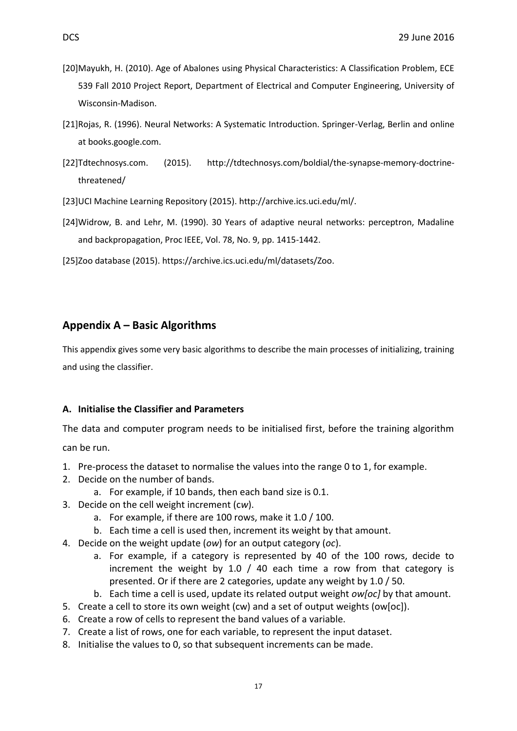- [20]Mayukh, H. (2010). Age of Abalones using Physical Characteristics: A Classification Problem, ECE 539 Fall 2010 Project Report, Department of Electrical and Computer Engineering, University of Wisconsin-Madison.
- <span id="page-16-0"></span>[21]Rojas, R. (1996). Neural Networks: A Systematic Introduction. Springer-Verlag, Berlin and online at books.google.com.
- [22]Tdtechnosys.com. (2015). http://tdtechnosys.com/boldial/the-synapse-memory-doctrinethreatened/
- <span id="page-16-1"></span>[23]UCI Machine Learning Repository (2015). http://archive.ics.uci.edu/ml/.
- <span id="page-16-2"></span>[24]Widrow, B. and Lehr, M. (1990). 30 Years of adaptive neural networks: perceptron, Madaline and backpropagation, Proc IEEE, Vol. 78, No. 9, pp. 1415-1442.
- <span id="page-16-3"></span>[25]Zoo database (2015). https://archive.ics.uci.edu/ml/datasets/Zoo.

# **Appendix A – Basic Algorithms**

This appendix gives some very basic algorithms to describe the main processes of initializing, training and using the classifier.

#### **A. Initialise the Classifier and Parameters**

The data and computer program needs to be initialised first, before the training algorithm

can be run.

- 1. Pre-process the dataset to normalise the values into the range 0 to 1, for example.
- 2. Decide on the number of bands.
	- a. For example, if 10 bands, then each band size is 0.1.
- 3. Decide on the cell weight increment (c*w*).
	- a. For example, if there are 100 rows, make it 1.0 / 100.
	- b. Each time a cell is used then, increment its weight by that amount.
- 4. Decide on the weight update (*ow*) for an output category (*oc*).
	- a. For example, if a category is represented by 40 of the 100 rows, decide to increment the weight by 1.0 / 40 each time a row from that category is presented. Or if there are 2 categories, update any weight by 1.0 / 50.
	- b. Each time a cell is used, update its related output weight *ow[oc]* by that amount.
- 5. Create a cell to store its own weight (cw) and a set of output weights (ow[oc]).
- 6. Create a row of cells to represent the band values of a variable.
- 7. Create a list of rows, one for each variable, to represent the input dataset.
- 8. Initialise the values to 0, so that subsequent increments can be made.